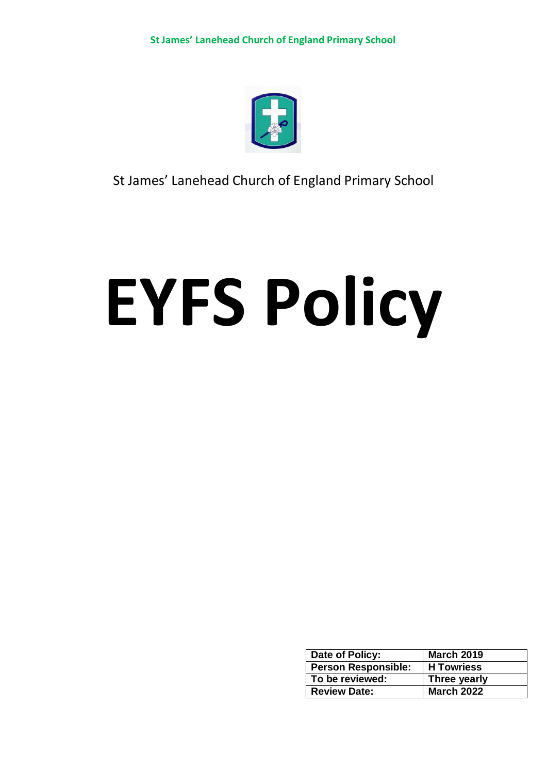

St James' Lanehead Church of England Primary School

# **EYFS Policy**

| Date of Policy:            | <b>March 2019</b> |
|----------------------------|-------------------|
| <b>Person Responsible:</b> | <b>H</b> Towriess |
| To be reviewed:            | Three yearly      |
| <b>Review Date:</b>        | <b>March 2022</b> |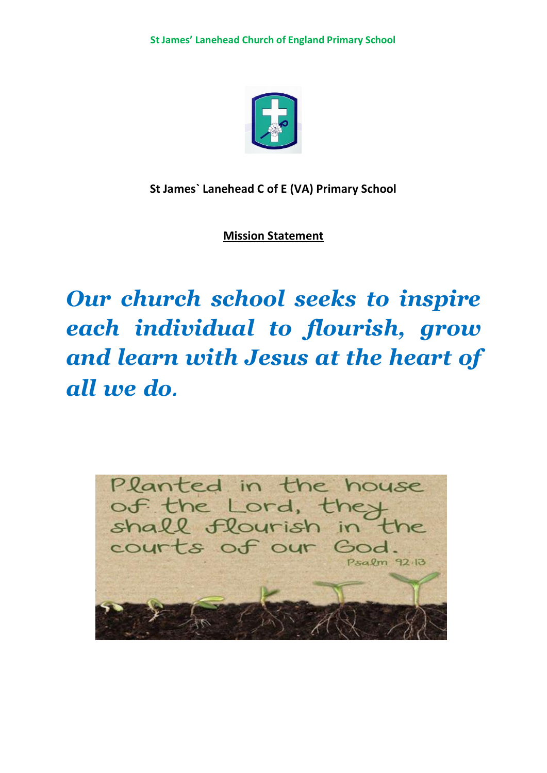

**St James` Lanehead C of E (VA) Primary School**

**Mission Statement**

*Our church school seeks to inspire each individual to flourish, grow and learn with Jesus at the heart of all we do.*

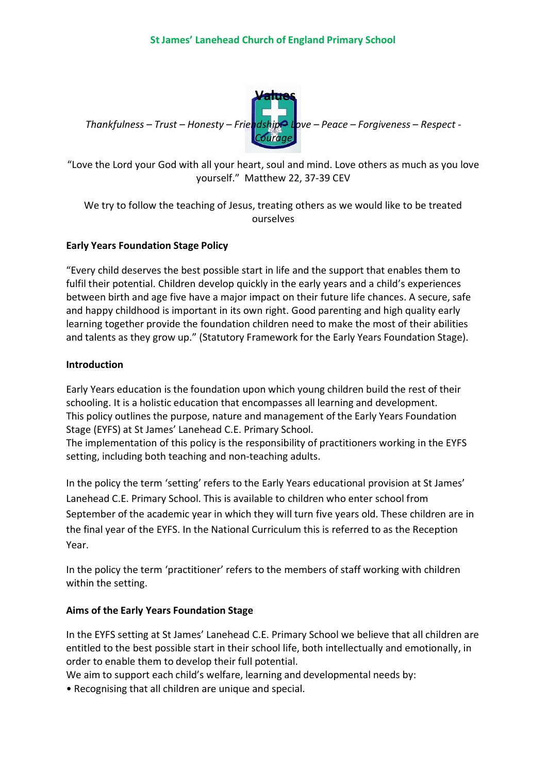

"Love the Lord your God with all your heart, soul and mind. Love others as much as you love yourself." Matthew 22, 37-39 CEV

We try to follow the teaching of Jesus, treating others as we would like to be treated ourselves

## **Early Years Foundation Stage Policy**

"Every child deserves the best possible start in life and the support that enables them to fulfil their potential. Children develop quickly in the early years and a child's experiences between birth and age five have a major impact on their future life chances. A secure, safe and happy childhood is important in its own right. Good parenting and high quality early learning together provide the foundation children need to make the most of their abilities and talents as they grow up." (Statutory Framework for the Early Years Foundation Stage).

#### **Introduction**

Early Years education is the foundation upon which young children build the rest of their schooling. It is a holistic education that encompasses all learning and development. This policy outlines the purpose, nature and management of the Early Years Foundation Stage (EYFS) at St James' Lanehead C.E. Primary School.

The implementation of this policy is the responsibility of practitioners working in the EYFS setting, including both teaching and non-teaching adults.

In the policy the term 'setting' refers to the Early Years educational provision at St James' Lanehead C.E. Primary School. This is available to children who enter school from September of the academic year in which they will turn five years old. These children are in the final year of the EYFS. In the National Curriculum this is referred to as the Reception Year.

In the policy the term 'practitioner' refers to the members of staff working with children within the setting.

# **Aims of the Early Years Foundation Stage**

In the EYFS setting at St James' Lanehead C.E. Primary School we believe that all children are entitled to the best possible start in their school life, both intellectually and emotionally, in order to enable them to develop their full potential.

We aim to support each child's welfare, learning and developmental needs by:

• Recognising that all children are unique and special.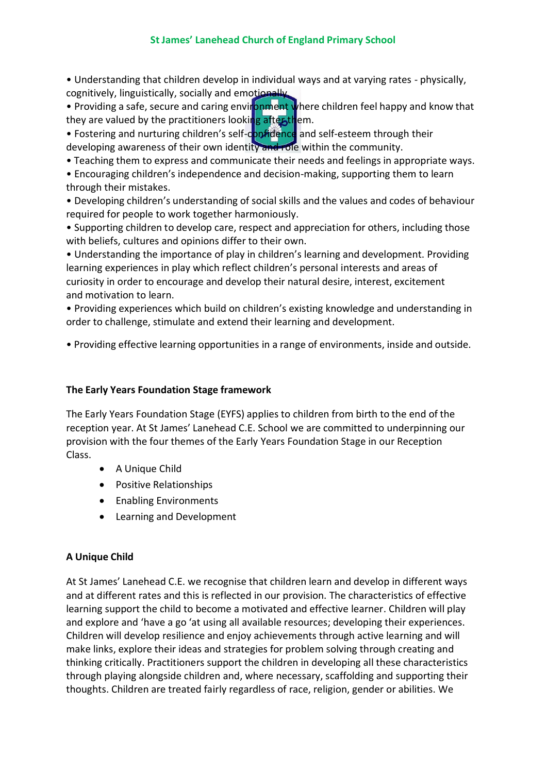# **St James' Lanehead Church of England Primary School**

• Understanding that children develop in individual ways and at varying rates - physically, cognitively, linguistically, socially and emotionally

• Providing a safe, secure and caring environment where children feel happy and know that they are valued by the practitioners looking after them.

• Fostering and nurturing children's self-confidence and self-esteem through their developing awareness of their own identity and role within the community.

• Teaching them to express and communicate their needs and feelings in appropriate ways.

• Encouraging children's independence and decision-making, supporting them to learn through their mistakes.

• Developing children's understanding of social skills and the values and codes of behaviour required for people to work together harmoniously.

• Supporting children to develop care, respect and appreciation for others, including those with beliefs, cultures and opinions differ to their own.

• Understanding the importance of play in children's learning and development. Providing learning experiences in play which reflect children's personal interests and areas of curiosity in order to encourage and develop their natural desire, interest, excitement and motivation to learn.

• Providing experiences which build on children's existing knowledge and understanding in order to challenge, stimulate and extend their learning and development.

• Providing effective learning opportunities in a range of environments, inside and outside.

### **The Early Years Foundation Stage framework**

The Early Years Foundation Stage (EYFS) applies to children from birth to the end of the reception year. At St James' Lanehead C.E. School we are committed to underpinning our provision with the four themes of the Early Years Foundation Stage in our Reception Class.

- A Unique Child
- Positive Relationships
- Enabling Environments
- Learning and Development

#### **A Unique Child**

At St James' Lanehead C.E. we recognise that children learn and develop in different ways and at different rates and this is reflected in our provision. The characteristics of effective learning support the child to become a motivated and effective learner. Children will play and explore and 'have a go 'at using all available resources; developing their experiences. Children will develop resilience and enjoy achievements through active learning and will make links, explore their ideas and strategies for problem solving through creating and thinking critically. Practitioners support the children in developing all these characteristics through playing alongside children and, where necessary, scaffolding and supporting their thoughts. Children are treated fairly regardless of race, religion, gender or abilities. We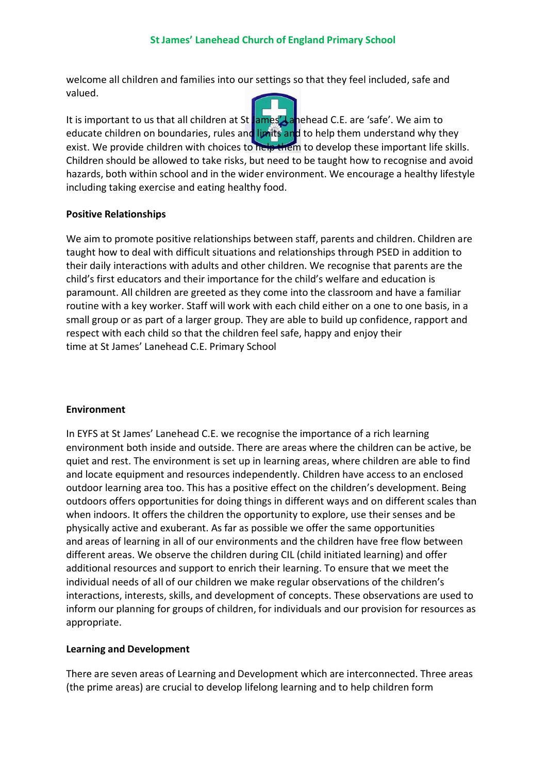welcome all children and families into our settings so that they feel included, safe and valued.

It is important to us that all children at St James' Lanehead C.E. are 'safe'. We aim to educate children on boundaries, rules and limits and to help them understand why they exist. We provide children with choices to help them to develop these important life skills. Children should be allowed to take risks, but need to be taught how to recognise and avoid hazards, both within school and in the wider environment. We encourage a healthy lifestyle including taking exercise and eating healthy food.

## **Positive Relationships**

We aim to promote positive relationships between staff, parents and children. Children are taught how to deal with difficult situations and relationships through PSED in addition to their daily interactions with adults and other children. We recognise that parents are the child's first educators and their importance for the child's welfare and education is paramount. All children are greeted as they come into the classroom and have a familiar routine with a key worker. Staff will work with each child either on a one to one basis, in a small group or as part of a larger group. They are able to build up confidence, rapport and respect with each child so that the children feel safe, happy and enjoy their time at St James' Lanehead C.E. Primary School

#### **Environment**

In EYFS at St James' Lanehead C.E. we recognise the importance of a rich learning environment both inside and outside. There are areas where the children can be active, be quiet and rest. The environment is set up in learning areas, where children are able to find and locate equipment and resources independently. Children have access to an enclosed outdoor learning area too. This has a positive effect on the children's development. Being outdoors offers opportunities for doing things in different ways and on different scales than when indoors. It offers the children the opportunity to explore, use their senses and be physically active and exuberant. As far as possible we offer the same opportunities and areas of learning in all of our environments and the children have free flow between different areas. We observe the children during CIL (child initiated learning) and offer additional resources and support to enrich their learning. To ensure that we meet the individual needs of all of our children we make regular observations of the children's interactions, interests, skills, and development of concepts. These observations are used to inform our planning for groups of children, for individuals and our provision for resources as appropriate.

#### **Learning and Development**

There are seven areas of Learning and Development which are interconnected. Three areas (the prime areas) are crucial to develop lifelong learning and to help children form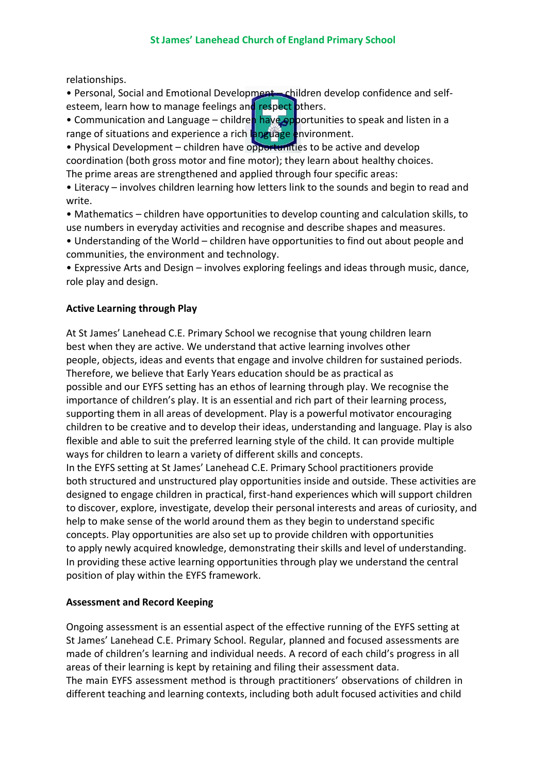relationships.

• Personal, Social and Emotional Development – children develop confidence and selfesteem, learn how to manage feelings and respect others.

• Communication and Language – children have opportunities to speak and listen in a range of situations and experience a rich language environment.

• Physical Development – children have opportunities to be active and develop coordination (both gross motor and fine motor); they learn about healthy choices. The prime areas are strengthened and applied through four specific areas:

• Literacy – involves children learning how letters link to the sounds and begin to read and write.

• Mathematics – children have opportunities to develop counting and calculation skills, to use numbers in everyday activities and recognise and describe shapes and measures.

• Understanding of the World – children have opportunities to find out about people and communities, the environment and technology.

• Expressive Arts and Design – involves exploring feelings and ideas through music, dance, role play and design.

# **Active Learning through Play**

At St James' Lanehead C.E. Primary School we recognise that young children learn best when they are active. We understand that active learning involves other people, objects, ideas and events that engage and involve children for sustained periods. Therefore, we believe that Early Years education should be as practical as possible and our EYFS setting has an ethos of learning through play. We recognise the importance of children's play. It is an essential and rich part of their learning process, supporting them in all areas of development. Play is a powerful motivator encouraging children to be creative and to develop their ideas, understanding and language. Play is also flexible and able to suit the preferred learning style of the child. It can provide multiple ways for children to learn a variety of different skills and concepts.

In the EYFS setting at St James' Lanehead C.E. Primary School practitioners provide both structured and unstructured play opportunities inside and outside. These activities are designed to engage children in practical, first-hand experiences which will support children to discover, explore, investigate, develop their personal interests and areas of curiosity, and help to make sense of the world around them as they begin to understand specific concepts. Play opportunities are also set up to provide children with opportunities to apply newly acquired knowledge, demonstrating their skills and level of understanding. In providing these active learning opportunities through play we understand the central position of play within the EYFS framework.

# **Assessment and Record Keeping**

Ongoing assessment is an essential aspect of the effective running of the EYFS setting at St James' Lanehead C.E. Primary School. Regular, planned and focused assessments are made of children's learning and individual needs. A record of each child's progress in all areas of their learning is kept by retaining and filing their assessment data.

The main EYFS assessment method is through practitioners' observations of children in different teaching and learning contexts, including both adult focused activities and child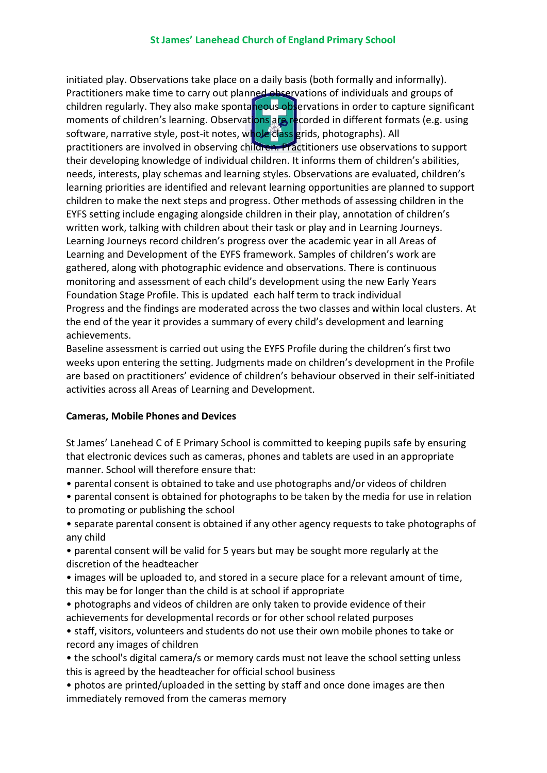initiated play. Observations take place on a daily basis (both formally and informally). Practitioners make time to carry out planned observations of individuals and groups of children regularly. They also make spontaneous observations in order to capture significant moments of children's learning. Observations are recorded in different formats (e.g. using software, narrative style, post-it notes, whole class grids, photographs). All practitioners are involved in observing children. Practitioners use observations to support their developing knowledge of individual children. It informs them of children's abilities, needs, interests, play schemas and learning styles. Observations are evaluated, children's learning priorities are identified and relevant learning opportunities are planned to support children to make the next steps and progress. Other methods of assessing children in the EYFS setting include engaging alongside children in their play, annotation of children's written work, talking with children about their task or play and in Learning Journeys. Learning Journeys record children's progress over the academic year in all Areas of Learning and Development of the EYFS framework. Samples of children's work are gathered, along with photographic evidence and observations. There is continuous monitoring and assessment of each child's development using the new Early Years Foundation Stage Profile. This is updated each half term to track individual Progress and the findings are moderated across the two classes and within local clusters. At the end of the year it provides a summary of every child's development and learning achievements.

Baseline assessment is carried out using the EYFS Profile during the children's first two weeks upon entering the setting. Judgments made on children's development in the Profile are based on practitioners' evidence of children's behaviour observed in their self-initiated activities across all Areas of Learning and Development.

# **Cameras, Mobile Phones and Devices**

St James' Lanehead C of E Primary School is committed to keeping pupils safe by ensuring that electronic devices such as cameras, phones and tablets are used in an appropriate manner. School will therefore ensure that:

- parental consent is obtained to take and use photographs and/or videos of children
- parental consent is obtained for photographs to be taken by the media for use in relation to promoting or publishing the school
- separate parental consent is obtained if any other agency requests to take photographs of any child
- parental consent will be valid for 5 years but may be sought more regularly at the discretion of the headteacher
- images will be uploaded to, and stored in a secure place for a relevant amount of time, this may be for longer than the child is at school if appropriate
- photographs and videos of children are only taken to provide evidence of their achievements for developmental records or for other school related purposes
- staff, visitors, volunteers and students do not use their own mobile phones to take or record any images of children
- the school's digital camera/s or memory cards must not leave the school setting unless this is agreed by the headteacher for official school business
- photos are printed/uploaded in the setting by staff and once done images are then immediately removed from the cameras memory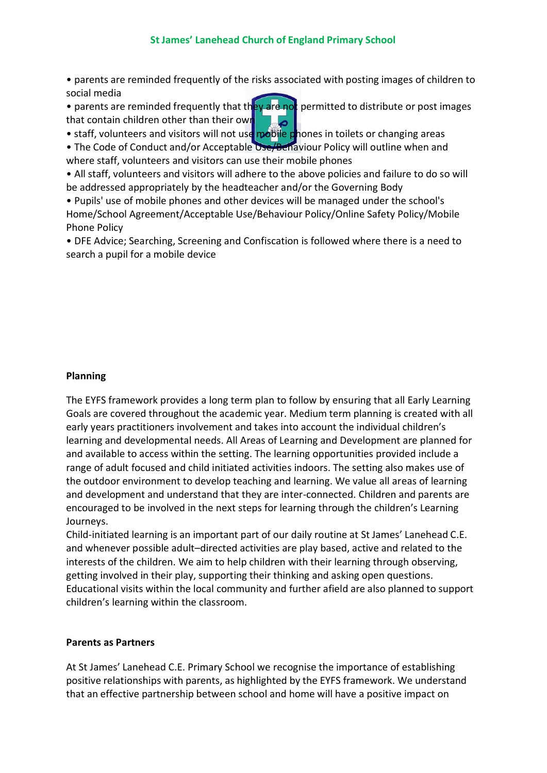• parents are reminded frequently of the risks associated with posting images of children to social media

• parents are reminded frequently that they are not permitted to distribute or post images that contain children other than their own △

• staff, volunteers and visitors will not use mobile phones in toilets or changing areas

• The Code of Conduct and/or Acceptable Use/Behaviour Policy will outline when and where staff, volunteers and visitors can use their mobile phones

• All staff, volunteers and visitors will adhere to the above policies and failure to do so will be addressed appropriately by the headteacher and/or the Governing Body

• Pupils' use of mobile phones and other devices will be managed under the school's Home/School Agreement/Acceptable Use/Behaviour Policy/Online Safety Policy/Mobile Phone Policy

• DFE Advice; Searching, Screening and Confiscation is followed where there is a need to search a pupil for a mobile device

# **Planning**

The EYFS framework provides a long term plan to follow by ensuring that all Early Learning Goals are covered throughout the academic year. Medium term planning is created with all early years practitioners involvement and takes into account the individual children's learning and developmental needs. All Areas of Learning and Development are planned for and available to access within the setting. The learning opportunities provided include a range of adult focused and child initiated activities indoors. The setting also makes use of the outdoor environment to develop teaching and learning. We value all areas of learning and development and understand that they are inter-connected. Children and parents are encouraged to be involved in the next steps for learning through the children's Learning Journeys.

Child-initiated learning is an important part of our daily routine at St James' Lanehead C.E. and whenever possible adult–directed activities are play based, active and related to the interests of the children. We aim to help children with their learning through observing, getting involved in their play, supporting their thinking and asking open questions. Educational visits within the local community and further afield are also planned to support children's learning within the classroom.

# **Parents as Partners**

At St James' Lanehead C.E. Primary School we recognise the importance of establishing positive relationships with parents, as highlighted by the EYFS framework. We understand that an effective partnership between school and home will have a positive impact on